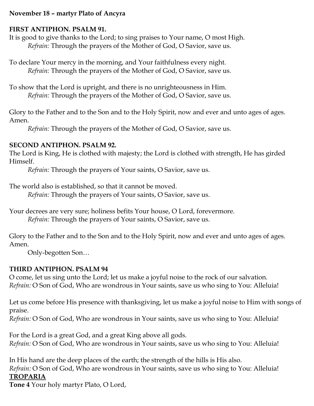#### **November 18 – martyr Plato of Ancyra**

#### **FIRST ANTIPHON. PSALM 91.**

It is good to give thanks to the Lord; to sing praises to Your name, O most High. *Refrain:* Through the prayers of the Mother of God, O Savior, save us.

To declare Your mercy in the morning, and Your faithfulness every night. *Refrain:* Through the prayers of the Mother of God, O Savior, save us.

To show that the Lord is upright, and there is no unrighteousness in Him. *Refrain:* Through the prayers of the Mother of God, O Savior, save us.

Glory to the Father and to the Son and to the Holy Spirit, now and ever and unto ages of ages. Amen.

*Refrain:* Through the prayers of the Mother of God, O Savior, save us.

#### **SECOND ANTIPHON. PSALM 92.**

The Lord is King, He is clothed with majesty; the Lord is clothed with strength, He has girded Himself.

*Refrain:* Through the prayers of Your saints, O Savior, save us.

The world also is established, so that it cannot be moved.

*Refrain:* Through the prayers of Your saints, O Savior, save us.

Your decrees are very sure; holiness befits Your house, O Lord, forevermore. *Refrain:* Through the prayers of Your saints, O Savior, save us.

Glory to the Father and to the Son and to the Holy Spirit, now and ever and unto ages of ages. Amen.

Only-begotten Son…

### **THIRD ANTIPHON. PSALM 94**

O come, let us sing unto the Lord; let us make a joyful noise to the rock of our salvation. *Refrain:* O Son of God, Who are wondrous in Your saints, save us who sing to You: Alleluia!

Let us come before His presence with thanksgiving, let us make a joyful noise to Him with songs of praise.

*Refrain:* O Son of God, Who are wondrous in Your saints, save us who sing to You: Alleluia!

For the Lord is a great God, and a great King above all gods. *Refrain:* O Son of God, Who are wondrous in Your saints, save us who sing to You: Alleluia!

In His hand are the deep places of the earth; the strength of the hills is His also. *Refrain:* O Son of God, Who are wondrous in Your saints, save us who sing to You: Alleluia! **TROPARIA**

**Tone 4** Your holy martyr Plato, O Lord,